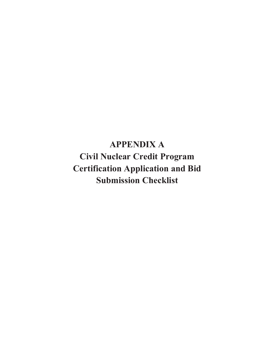**APPENDIX A Civil Nuclear Credit Program Certification Application and Bid Submission Checklist**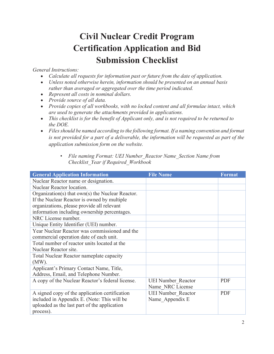## **Civil Nuclear Credit Program Certification Application and Bid Submission Checklist**

## *General Instructions:*

- · *Calculate all requests for information past or future from the date of application.*
- · *Unless noted otherwise herein, information should be presented on an annual basis rather than averaged or aggregated over the time period indicated.*
- · *Represent all costs in nominal dollars.*
- · *Provide source of all data.*
- · *Provide copies of all workbooks, with no locked content and all formulae intact, which are used to generate the attachments provided in applications.*
- · *This checklist is for the benefit of Applicant only, and is not required to be returned to the DOE.*
- · *Files should be named according to the following format. If a naming convention and format is not provided for a part of a deliverable, the information will be requested as part of the application submission form on the website.* 
	- *File naming Format: UEI Number\_Reactor Name\_Section Name from Checklist\_Year if Required\_Workbook*

| <b>General Application Information</b>             | <b>File Name</b>          | Format     |
|----------------------------------------------------|---------------------------|------------|
| Nuclear Reactor name or designation.               |                           |            |
| Nuclear Reactor location.                          |                           |            |
| Organization(s) that $own(s)$ the Nuclear Reactor. |                           |            |
| If the Nuclear Reactor is owned by multiple        |                           |            |
| organizations, please provide all relevant         |                           |            |
| information including ownership percentages.       |                           |            |
| NRC License number.                                |                           |            |
| Unique Entity Identifier (UEI) number.             |                           |            |
| Year Nuclear Reactor was commissioned and the      |                           |            |
| commercial operation date of each unit.            |                           |            |
| Total number of reactor units located at the       |                           |            |
| Nuclear Reactor site.                              |                           |            |
| Total Nuclear Reactor nameplate capacity           |                           |            |
| $(MW)$ .                                           |                           |            |
| Applicant's Primary Contact Name, Title,           |                           |            |
| Address, Email, and Telephone Number.              |                           |            |
| A copy of the Nuclear Reactor's federal license.   | <b>UEI Number Reactor</b> | <b>PDF</b> |
|                                                    | Name NRC License          |            |
| A signed copy of the application certification     | <b>UEI Number Reactor</b> | <b>PDF</b> |
| included in Appendix E. (Note: This will be        | Name Appendix E           |            |
| uploaded as the last part of the application       |                           |            |
| process).                                          |                           |            |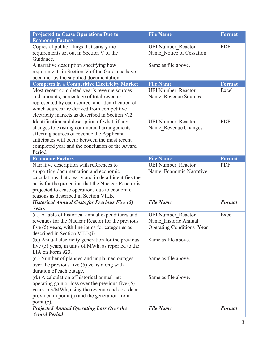| <b>Projected to Cease Operations Due to</b><br><b>Economic Factors</b>                                                                                                                                                                                                                         | <b>File Name</b>                                                                      | <b>Format</b> |
|------------------------------------------------------------------------------------------------------------------------------------------------------------------------------------------------------------------------------------------------------------------------------------------------|---------------------------------------------------------------------------------------|---------------|
| Copies of public filings that satisfy the<br>requirements set out in Section V of the<br>Guidance.                                                                                                                                                                                             | <b>UEI Number Reactor</b><br>Name Notice of Cessation                                 | <b>PDF</b>    |
| A narrative description specifying how<br>requirements in Section V of the Guidance have<br>been met by the supplied documentation.                                                                                                                                                            | Same as file above.                                                                   |               |
| <b>Competes in a Competitive Electricity Market</b>                                                                                                                                                                                                                                            | <b>File Name</b>                                                                      | <b>Format</b> |
| Most recent completed year's revenue sources<br>and amounts, percentage of total revenue<br>represented by each source, and identification of<br>which sources are derived from competitive<br>electricity markets as described in Section V.2.                                                | <b>UEI Number Reactor</b><br>Name_Revenue Sources                                     | Excel         |
| Identification and description of what, if any,<br>changes to existing commercial arrangements<br>affecting sources of revenue the Applicant<br>anticipates will occur between the most recent<br>completed year and the conclusion of the Award<br>Period.                                    | <b>UEI Number Reactor</b><br>Name Revenue Changes                                     | <b>PDF</b>    |
| <b>Economic Factors</b>                                                                                                                                                                                                                                                                        | <b>File Name</b>                                                                      | Format        |
| Narrative description with references to<br>supporting documentation and economic<br>calculations that clearly and in detail identifies the<br>basis for the projection that the Nuclear Reactor is<br>projected to cease operations due to economic<br>reasons as described in Section VII.B. | <b>UEI Number Reactor</b><br>Name Economic Narrative                                  | <b>PDF</b>    |
| <b>Historical Annual Costs for Previous Five (5)</b><br>Years                                                                                                                                                                                                                                  | <b>File Name</b>                                                                      | <b>Format</b> |
| (a.) A table of historical annual expenditures and<br>revenues for the Nuclear Reactor for the previous<br>five $(5)$ years, with line items for categories as<br>described in Section VII.B(i)                                                                                                | <b>UEI Number Reactor</b><br>Name Historic Annual<br><b>Operating Conditions</b> Year | Excel         |
| (b.) Annual electricity generation for the previous<br>five $(5)$ years, in units of MWh, as reported to the<br>EIA on Form 923.                                                                                                                                                               | Same as file above.                                                                   |               |
| (c.) Number of planned and unplanned outages<br>over the previous five $(5)$ years along with<br>duration of each outage.                                                                                                                                                                      | Same as file above.                                                                   |               |
| (d.) A calculation of historical annual net<br>operating gain or loss over the previous five $(5)$<br>years in \$/MWh, using the revenue and cost data<br>provided in point (a) and the generation from<br>point (b).                                                                          | Same as file above.                                                                   |               |
| <b>Projected Annual Operating Loss Over the</b><br><b>Award Period</b>                                                                                                                                                                                                                         | <b>File Name</b>                                                                      | <b>Format</b> |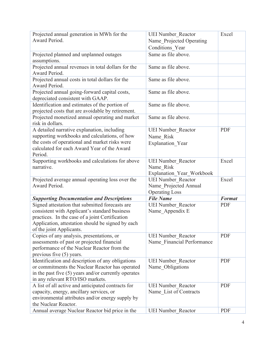| Projected annual generation in MWh for the<br>Award Period.                                                                                                                                                                          | <b>UEI Number Reactor</b><br>Name Projected Operating<br>Conditions Year | Excel         |
|--------------------------------------------------------------------------------------------------------------------------------------------------------------------------------------------------------------------------------------|--------------------------------------------------------------------------|---------------|
| Projected planned and unplanned outages<br>assumptions.                                                                                                                                                                              | Same as file above.                                                      |               |
| Projected annual revenues in total dollars for the<br>Award Period.                                                                                                                                                                  | Same as file above.                                                      |               |
| Projected annual costs in total dollars for the<br>Award Period.                                                                                                                                                                     | Same as file above.                                                      |               |
| Projected annual going-forward capital costs,<br>depreciated consistent with GAAP.                                                                                                                                                   | Same as file above.                                                      |               |
| Identification and estimates of the portion of<br>projected costs that are avoidable by retirement.                                                                                                                                  | Same as file above.                                                      |               |
| Projected monetized annual operating and market<br>risk in dollars.                                                                                                                                                                  | Same as file above.                                                      |               |
| A detailed narrative explanation, including<br>supporting workbooks and calculations, of how<br>the costs of operational and market risks were<br>calculated for each Award Year of the Award<br>Period.                             | <b>UEI Number Reactor</b><br>Name Risk<br><b>Explanation Year</b>        | <b>PDF</b>    |
| Supporting workbooks and calculations for above<br>narrative.                                                                                                                                                                        | <b>UEI Number Reactor</b><br>Name Risk<br>Explanation Year Workbook      | Excel         |
| Projected average annual operating loss over the                                                                                                                                                                                     | <b>UEI Number Reactor</b>                                                | Excel         |
| Award Period.                                                                                                                                                                                                                        | Name Projected Annual<br><b>Operating Loss</b>                           |               |
| <b>Supporting Documentation and Descriptions</b>                                                                                                                                                                                     | <b>File Name</b>                                                         | <b>Format</b> |
| Signed attestation that submitted forecasts are<br>consistent with Applicant's standard business<br>practices. In the case of a joint Certification<br>Application, attestation should be signed by each<br>of the joint Applicants. | <b>UEI Number Reactor</b><br>Name Appendix E                             | <b>PDF</b>    |
| Copies of any analysis, presentations, or<br>assessments of past or projected financial<br>performance of the Nuclear Reactor from the<br>previous five $(5)$ years.                                                                 | <b>UEI Number Reactor</b><br>Name Financial Performance                  | <b>PDF</b>    |
| Identification and description of any obligations<br>or commitments the Nuclear Reactor has operated<br>in the past five $(5)$ years and/or currently operates<br>in any relevant RTO/ISO markets.                                   | <b>UEI Number Reactor</b><br>Name Obligations                            | <b>PDF</b>    |
| A list of all active and anticipated contracts for<br>capacity, energy, ancillary services, or<br>environmental attributes and/or energy supply by<br>the Nuclear Reactor.<br>Annual average Nuclear Reactor bid price in the        | <b>UEI Number Reactor</b><br>Name List of Contracts                      | <b>PDF</b>    |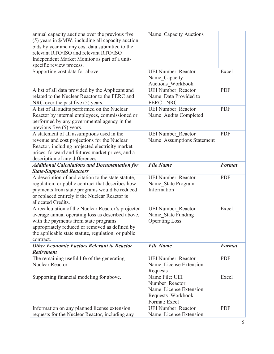| annual capacity auctions over the previous five<br>(5) years in \$/MW, including all capacity auction<br>bids by year and any cost data submitted to the<br>relevant RTO/ISO and relevant RTO/ISO<br>Independent Market Monitor as part of a unit-<br>specific review process. | Name Capacity Auctions                                                                           |               |
|--------------------------------------------------------------------------------------------------------------------------------------------------------------------------------------------------------------------------------------------------------------------------------|--------------------------------------------------------------------------------------------------|---------------|
| Supporting cost data for above.                                                                                                                                                                                                                                                | <b>UEI Number Reactor</b><br>Name_Capacity<br><b>Auctions Workbook</b>                           | Excel         |
| A list of all data provided by the Applicant and<br>related to the Nuclear Reactor to the FERC and<br>NRC over the past five (5) years.                                                                                                                                        | <b>UEI Number Reactor</b><br>Name Data Provided to<br><b>FERC - NRC</b>                          | <b>PDF</b>    |
| A list of all audits performed on the Nuclear<br>Reactor by internal employees, commissioned or<br>performed by any governmental agency in the<br>previous five (5) years.                                                                                                     | <b>UEI Number Reactor</b><br>Name Audits Completed                                               | <b>PDF</b>    |
| A statement of all assumptions used in the<br>revenue and cost projections for the Nuclear<br>Reactor, including projected electricity market<br>prices, forward and futures market prices, and a<br>description of any differences.                                           | <b>UEI Number Reactor</b><br>Name Assumptions Statement                                          | <b>PDF</b>    |
| <b>Additional Calculations and Documentation for</b><br><b>State-Supported Reactors</b>                                                                                                                                                                                        | <b>File Name</b>                                                                                 | <b>Format</b> |
| A description of and citation to the state statute,                                                                                                                                                                                                                            | <b>UEI Number Reactor</b>                                                                        |               |
| regulation, or public contract that describes how<br>payments from state programs would be reduced<br>or replaced entirely if the Nuclear Reactor is<br>allocated Credits.                                                                                                     | Name State Program<br>Information                                                                | <b>PDF</b>    |
| A recalculation of the Nuclear Reactor's projected<br>average annual operating loss as described above,<br>with the payments from state programs<br>appropriately reduced or removed as defined by<br>the applicable state statute, regulation, or public<br>contract.         | <b>UEI Number Reactor</b><br>Name State Funding<br><b>Operating Loss</b>                         | Excel         |
| <b>Other Economic Factors Relevant to Reactor</b>                                                                                                                                                                                                                              | <b>File Name</b>                                                                                 | <b>Format</b> |
| <b>Retirement</b><br>The remaining useful life of the generating<br>Nuclear Reactor.                                                                                                                                                                                           | <b>UEI Number Reactor</b><br>Name License Extension<br>Requests                                  | <b>PDF</b>    |
| Supporting financial modeling for above.                                                                                                                                                                                                                                       | Name File: UEI<br>Number Reactor<br>Name License Extension<br>Requests Workbook<br>Format: Excel | Excel         |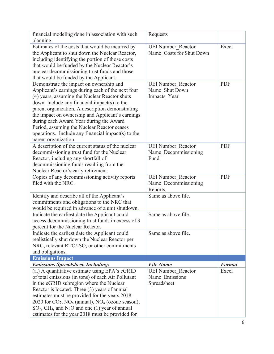| financial modeling done in association with such                          | Requests                  |               |
|---------------------------------------------------------------------------|---------------------------|---------------|
| planning.                                                                 |                           |               |
| Estimates of the costs that would be incurred by                          | <b>UEI Number Reactor</b> | Excel         |
| the Applicant to shut down the Nuclear Reactor,                           | Name Costs for Shut Down  |               |
| including identifying the portion of those costs                          |                           |               |
| that would be funded by the Nuclear Reactor's                             |                           |               |
| nuclear decommissioning trust funds and those                             |                           |               |
| that would be funded by the Applicant.                                    |                           |               |
| Demonstrate the impact on ownership and                                   | <b>UEI Number Reactor</b> | <b>PDF</b>    |
| Applicant's earnings during each of the next four                         | Name Shut Down            |               |
| (4) years, assuming the Nuclear Reactor shuts                             | Impacts Year              |               |
| down. Include any financial impact(s) to the                              |                           |               |
| parent organization. A description demonstrating                          |                           |               |
| the impact on ownership and Applicant's earnings                          |                           |               |
| during each Award Year during the Award                                   |                           |               |
| Period, assuming the Nuclear Reactor ceases                               |                           |               |
| operations. Include any financial impact(s) to the                        |                           |               |
| parent organization.                                                      |                           |               |
| A description of the current status of the nuclear                        | <b>UEI Number Reactor</b> | <b>PDF</b>    |
| decommissioning trust fund for the Nuclear                                | Name Decommissioning      |               |
| Reactor, including any shortfall of                                       | Fund                      |               |
| decommissioning funds resulting from the                                  |                           |               |
| Nuclear Reactor's early retirement.                                       |                           |               |
| Copies of any decommissioning activity reports                            | <b>UEI Number Reactor</b> | <b>PDF</b>    |
| filed with the NRC.                                                       | Name Decommissioning      |               |
|                                                                           | Reports                   |               |
| Identify and describe all of the Applicant's                              | Same as above file.       |               |
| commitments and obligations to the NRC that                               |                           |               |
| would be required in advance of a unit shutdown.                          |                           |               |
| Indicate the earliest date the Applicant could                            | Same as above file.       |               |
| access decommissioning trust funds in excess of 3                         |                           |               |
| percent for the Nuclear Reactor.                                          |                           |               |
| Indicate the earliest date the Applicant could                            | Same as above file.       |               |
| realistically shut down the Nuclear Reactor per                           |                           |               |
| NRC, relevant RTO/ISO, or other commitments                               |                           |               |
|                                                                           |                           |               |
| and obligations.                                                          |                           |               |
| <b>Emissions Impact</b>                                                   |                           |               |
| <b>Emissions Spreadsheet, Including:</b>                                  | <b>File Name</b>          | <b>Format</b> |
| (a.) A quantitative estimate using EPA's eGRID                            | <b>UEI Number Reactor</b> | Excel         |
| of total emissions (in tons) of each Air Pollutant                        | Name Emissions            |               |
| in the eGRID subregion where the Nuclear                                  | Spreadsheet               |               |
| Reactor is located. Three (3) years of annual                             |                           |               |
| estimates must be provided for the years 2018–                            |                           |               |
| 2020 for $CO_2$ , $NO_x$ (annual), $NO_x$ (ozone season),                 |                           |               |
| $SO2$ , CH <sub>4</sub> , and N <sub>2</sub> O and one (1) year of annual |                           |               |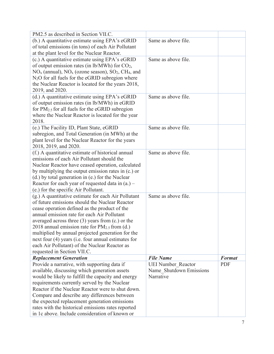| PM2.5 as described in Section VII.C.                                   |                           |               |
|------------------------------------------------------------------------|---------------------------|---------------|
| (b.) A quantitative estimate using EPA's eGRID                         | Same as above file.       |               |
| of total emissions (in tons) of each Air Pollutant                     |                           |               |
| at the plant level for the Nuclear Reactor.                            |                           |               |
| (c.) A quantitative estimate using EPA's eGRID                         | Same as above file.       |               |
| of output emission rates (in $lb/MWh$ ) for $CO2$ ,                    |                           |               |
| $NO_x$ (annual), $NO_x$ (ozone season), $SO_2$ , CH <sub>4</sub> , and |                           |               |
| $N_2O$ for all fuels for the eGRID subregion where                     |                           |               |
| the Nuclear Reactor is located for the years 2018,                     |                           |               |
| 2019, and 2020.                                                        |                           |               |
| (d.) A quantitative estimate using EPA's eGRID                         | Same as above file.       |               |
| of output emission rates (in lb/MWh) in eGRID                          |                           |               |
| for $PM_{2.5}$ for all fuels for the eGRID subregion                   |                           |               |
| where the Nuclear Reactor is located for the year                      |                           |               |
| 2018.                                                                  |                           |               |
| (e.) The Facility ID, Plant State, eGRID                               | Same as above file.       |               |
| subregion, and Total Generation (in MWh) at the                        |                           |               |
| plant level for the Nuclear Reactor for the years                      |                           |               |
| 2018, 2019, and 2020.                                                  |                           |               |
| (f.) A quantitative estimate of historical annual                      | Same as above file.       |               |
| emissions of each Air Pollutant should the                             |                           |               |
| Nuclear Reactor have ceased operation, calculated                      |                           |               |
| by multiplying the output emission rates in (c.) or                    |                           |               |
| (d.) by total generation in (e.) for the Nuclear                       |                           |               |
| Reactor for each year of requested data in $(a.)$ –                    |                           |               |
| (e.) for the specific Air Pollutant.                                   |                           |               |
| (g.) A quantitative estimate for each Air Pollutant                    | Same as above file.       |               |
| of future emissions should the Nuclear Reactor                         |                           |               |
| cease operation defined as the product of the                          |                           |               |
| annual emission rate for each Air Pollutant                            |                           |               |
| averaged across three $(3)$ years from $(c.)$ or the                   |                           |               |
| 2018 annual emission rate for $PM_{2.5}$ from (d.)                     |                           |               |
| multiplied by annual projected generation for the                      |                           |               |
| next four (4) years (i.e. four annual estimates for                    |                           |               |
| each Air Pollutant) of the Nuclear Reactor as                          |                           |               |
| requested in Section VII.C.                                            |                           |               |
| <b>Replacement Generation</b>                                          | <b>File Name</b>          | <b>Format</b> |
| Provide a narrative, with supporting data if                           | <b>UEI Number Reactor</b> | <b>PDF</b>    |
| available, discussing which generation assets                          | Name Shutdown Emissions   |               |
| would be likely to fulfill the capacity and energy                     | Narrative                 |               |
| requirements currently served by the Nuclear                           |                           |               |
| Reactor if the Nuclear Reactor were to shut down.                      |                           |               |
| Compare and describe any differences between                           |                           |               |
| the expected replacement generation emissions                          |                           |               |
| rates with the historical emissions rates reported                     |                           |               |
| in 1c above. Include consideration of known or                         |                           |               |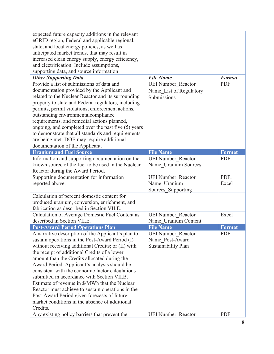| expected future capacity additions in the relevant<br>eGRID region, Federal and applicable regional,<br>state, and local energy policies, as well as<br>anticipated market trends, that may result in<br>increased clean energy supply, energy efficiency, |                           |               |
|------------------------------------------------------------------------------------------------------------------------------------------------------------------------------------------------------------------------------------------------------------|---------------------------|---------------|
| and electrification. Include assumptions,                                                                                                                                                                                                                  |                           |               |
| supporting data, and source information                                                                                                                                                                                                                    |                           |               |
| <b>Other Supporting Data</b>                                                                                                                                                                                                                               | <b>File Name</b>          | <b>Format</b> |
| Provide a list of submissions of data and                                                                                                                                                                                                                  | <b>UEI Number Reactor</b> | <b>PDF</b>    |
| documentation provided by the Applicant and                                                                                                                                                                                                                | Name List of Regulatory   |               |
| related to the Nuclear Reactor and its surrounding                                                                                                                                                                                                         | Submissions               |               |
| property to state and Federal regulators, including                                                                                                                                                                                                        |                           |               |
| permits, permit violations, enforcement actions,                                                                                                                                                                                                           |                           |               |
| outstanding environmentalcompliance                                                                                                                                                                                                                        |                           |               |
| requirements, and remedial actions planned,                                                                                                                                                                                                                |                           |               |
| ongoing, and completed over the past five (5) years                                                                                                                                                                                                        |                           |               |
| to demonstrate that all standards and requirements                                                                                                                                                                                                         |                           |               |
| are being met. DOE may require additional                                                                                                                                                                                                                  |                           |               |
| documentation of the Applicant.                                                                                                                                                                                                                            |                           |               |
| <b>Uranium and Fuel Source</b>                                                                                                                                                                                                                             | <b>File Name</b>          | <b>Format</b> |
| Information and supporting documentation on the                                                                                                                                                                                                            | <b>UEI Number Reactor</b> | <b>PDF</b>    |
| known source of the fuel to be used in the Nuclear                                                                                                                                                                                                         | Name Uranium Sources      |               |
| Reactor during the Award Period.                                                                                                                                                                                                                           |                           |               |
| Supporting documentation for information                                                                                                                                                                                                                   | <b>UEI Number Reactor</b> | PDF,          |
| reported above.                                                                                                                                                                                                                                            | Name Uranium              | Excel         |
|                                                                                                                                                                                                                                                            | Sources Supporting        |               |
| Calculation of percent domestic content for                                                                                                                                                                                                                |                           |               |
| produced uranium, conversion, enrichment, and                                                                                                                                                                                                              |                           |               |
| fabrication as described in Section VII.E.                                                                                                                                                                                                                 |                           |               |
| Calculation of Average Domestic Fuel Content as                                                                                                                                                                                                            | <b>UEI Number Reactor</b> | Excel         |
| described in Section VII.E.                                                                                                                                                                                                                                | Name Uranium Content      |               |
| <b>Post-Award Period Operations Plan</b>                                                                                                                                                                                                                   | <b>File Name</b>          | <b>Format</b> |
| A narrative description of the Applicant's plan to                                                                                                                                                                                                         | <b>UEI Number Reactor</b> | <b>PDF</b>    |
| sustain operations in the Post-Award Period (I)                                                                                                                                                                                                            | Name Post-Award           |               |
| without receiving additional Credits; or (II) with                                                                                                                                                                                                         | Sustainability Plan       |               |
| the receipt of additional Credits of a lower                                                                                                                                                                                                               |                           |               |
| amount than the Credits allocated during the                                                                                                                                                                                                               |                           |               |
| Award Period. Applicant's analysis should be<br>consistent with the economic factor calculations                                                                                                                                                           |                           |               |
| submitted in accordance with Section VII.B.                                                                                                                                                                                                                |                           |               |
| Estimate of revenue in \$/MWh that the Nuclear                                                                                                                                                                                                             |                           |               |
| Reactor must achieve to sustain operations in the                                                                                                                                                                                                          |                           |               |
| Post-Award Period given forecasts of future                                                                                                                                                                                                                |                           |               |
| market conditions in the absence of additional                                                                                                                                                                                                             |                           |               |
| Credits.                                                                                                                                                                                                                                                   |                           |               |
| Any existing policy barriers that prevent the                                                                                                                                                                                                              | <b>UEI Number Reactor</b> | <b>PDF</b>    |